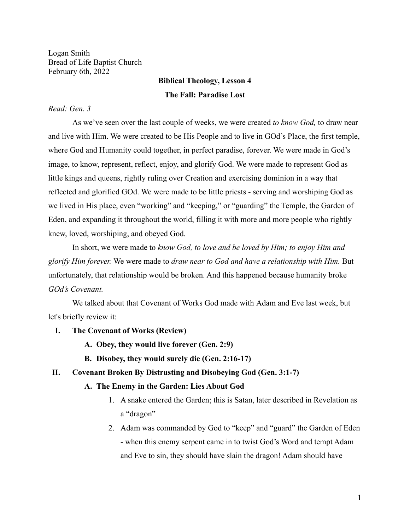Logan Smith Bread of Life Baptist Church February 6th, 2022

# **Biblical Theology, Lesson 4 The Fall: Paradise Lost**

#### *Read: Gen. 3*

As we've seen over the last couple of weeks, we were created *to know God,* to draw near and live with Him. We were created to be His People and to live in GOd's Place, the first temple, where God and Humanity could together, in perfect paradise, forever. We were made in God's image, to know, represent, reflect, enjoy, and glorify God. We were made to represent God as little kings and queens, rightly ruling over Creation and exercising dominion in a way that reflected and glorified GOd. We were made to be little priests - serving and worshiping God as we lived in His place, even "working" and "keeping," or "guarding" the Temple, the Garden of Eden, and expanding it throughout the world, filling it with more and more people who rightly knew, loved, worshiping, and obeyed God.

In short, we were made to *know God, to love and be loved by Him; to enjoy Him and glorify Him forever.* We were made to *draw near to God and have a relationship with Him.* But unfortunately, that relationship would be broken. And this happened because humanity broke *GOd's Covenant.*

We talked about that Covenant of Works God made with Adam and Eve last week, but let's briefly review it:

### **I. The Covenant of Works (Review)**

**A. Obey, they would live forever (Gen. 2:9)**

**B. Disobey, they would surely die (Gen. 2:16-17)**

## **II. Covenant Broken By Distrusting and Disobeying God (Gen. 3:1-7)**

- **A. The Enemy in the Garden: Lies About God**
	- 1. A snake entered the Garden; this is Satan, later described in Revelation as a "dragon"
	- 2. Adam was commanded by God to "keep" and "guard" the Garden of Eden - when this enemy serpent came in to twist God's Word and tempt Adam and Eve to sin, they should have slain the dragon! Adam should have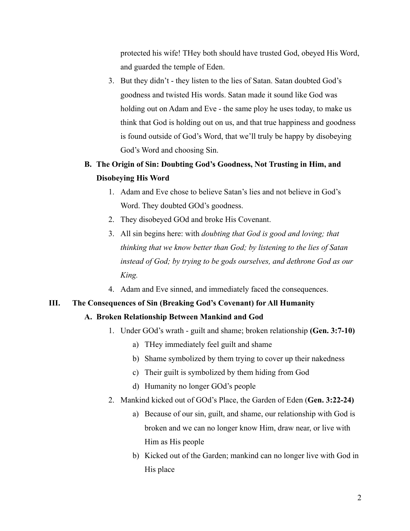protected his wife! THey both should have trusted God, obeyed His Word, and guarded the temple of Eden.

3. But they didn't - they listen to the lies of Satan. Satan doubted God's goodness and twisted His words. Satan made it sound like God was holding out on Adam and Eve - the same ploy he uses today, to make us think that God is holding out on us, and that true happiness and goodness is found outside of God's Word, that we'll truly be happy by disobeying God's Word and choosing Sin.

## **B. The Origin of Sin: Doubting God's Goodness, Not Trusting in Him, and Disobeying His Word**

- 1. Adam and Eve chose to believe Satan's lies and not believe in God's Word. They doubted GOd's goodness.
- 2. They disobeyed GOd and broke His Covenant.
- 3. All sin begins here: with *doubting that God is good and loving; that thinking that we know better than God; by listening to the lies of Satan instead of God; by trying to be gods ourselves, and dethrone God as our King.*
- 4. Adam and Eve sinned, and immediately faced the consequences.

## **III. The Consequences of Sin (Breaking God's Covenant) for All Humanity**

## **A. Broken Relationship Between Mankind and God**

- 1. Under GOd's wrath guilt and shame; broken relationship **(Gen. 3:7-10)**
	- a) THey immediately feel guilt and shame
	- b) Shame symbolized by them trying to cover up their nakedness
	- c) Their guilt is symbolized by them hiding from God
	- d) Humanity no longer GOd's people
- 2. Mankind kicked out of GOd's Place, the Garden of Eden (**Gen. 3:22-24)**
	- a) Because of our sin, guilt, and shame, our relationship with God is broken and we can no longer know Him, draw near, or live with Him as His people
	- b) Kicked out of the Garden; mankind can no longer live with God in His place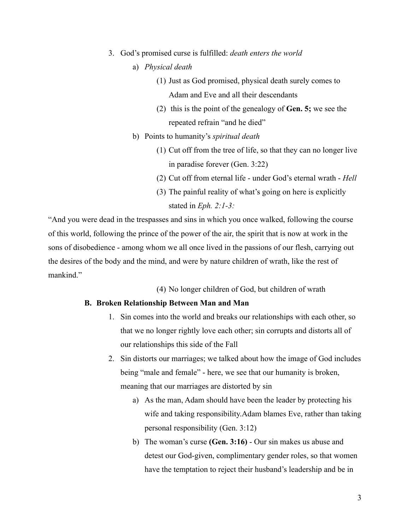- 3. God's promised curse is fulfilled: *death enters the world*
	- a) *Physical death*
		- (1) Just as God promised, physical death surely comes to Adam and Eve and all their descendants
		- (2) this is the point of the genealogy of **Gen. 5;** we see the repeated refrain "and he died"
	- b) Points to humanity's *spiritual death*
		- (1) Cut off from the tree of life, so that they can no longer live in paradise forever (Gen. 3:22)
		- (2) Cut off from eternal life under God's eternal wrath *Hell*
		- (3) The painful reality of what's going on here is explicitly stated in *Eph. 2:1-3:*

"And you were dead in the trespasses and sins in which you once walked, following the course of this world, following the prince of the power of the air, the spirit that is now at work in the sons of disobedience - among whom we all once lived in the passions of our flesh, carrying out the desires of the body and the mind, and were by nature children of wrath, like the rest of mankind."

(4) No longer children of God, but children of wrath

#### **B. Broken Relationship Between Man and Man**

- 1. Sin comes into the world and breaks our relationships with each other, so that we no longer rightly love each other; sin corrupts and distorts all of our relationships this side of the Fall
- 2. Sin distorts our marriages; we talked about how the image of God includes being "male and female" - here, we see that our humanity is broken, meaning that our marriages are distorted by sin
	- a) As the man, Adam should have been the leader by protecting his wife and taking responsibility.Adam blames Eve, rather than taking personal responsibility (Gen. 3:12)
	- b) The woman's curse **(Gen. 3:16)** Our sin makes us abuse and detest our God-given, complimentary gender roles, so that women have the temptation to reject their husband's leadership and be in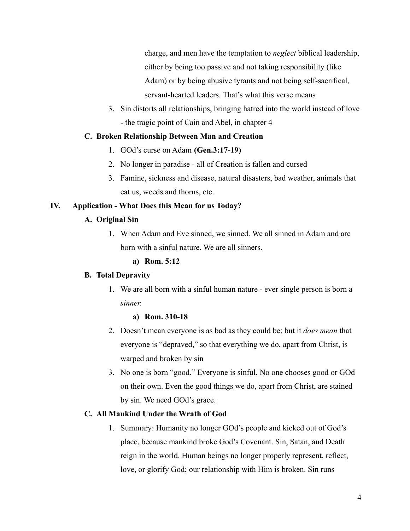charge, and men have the temptation to *neglect* biblical leadership, either by being too passive and not taking responsibility (like Adam) or by being abusive tyrants and not being self-sacrifical, servant-hearted leaders. That's what this verse means

3. Sin distorts all relationships, bringing hatred into the world instead of love - the tragic point of Cain and Abel, in chapter 4

## **C. Broken Relationship Between Man and Creation**

- 1. GOd's curse on Adam **(Gen.3:17-19)**
- 2. No longer in paradise all of Creation is fallen and cursed
- 3. Famine, sickness and disease, natural disasters, bad weather, animals that eat us, weeds and thorns, etc.

## **IV. Application - What Does this Mean for us Today?**

### **A. Original Sin**

1. When Adam and Eve sinned, we sinned. We all sinned in Adam and are born with a sinful nature. We are all sinners.

### **a) Rom. 5:12**

### **B. Total Depravity**

1. We are all born with a sinful human nature - ever single person is born a *sinner.*

### **a) Rom. 310-18**

- 2. Doesn't mean everyone is as bad as they could be; but it *does mean* that everyone is "depraved," so that everything we do, apart from Christ, is warped and broken by sin
- 3. No one is born "good." Everyone is sinful. No one chooses good or GOd on their own. Even the good things we do, apart from Christ, are stained by sin. We need GOd's grace.

## **C. All Mankind Under the Wrath of God**

1. Summary: Humanity no longer GOd's people and kicked out of God's place, because mankind broke God's Covenant. Sin, Satan, and Death reign in the world. Human beings no longer properly represent, reflect, love, or glorify God; our relationship with Him is broken. Sin runs